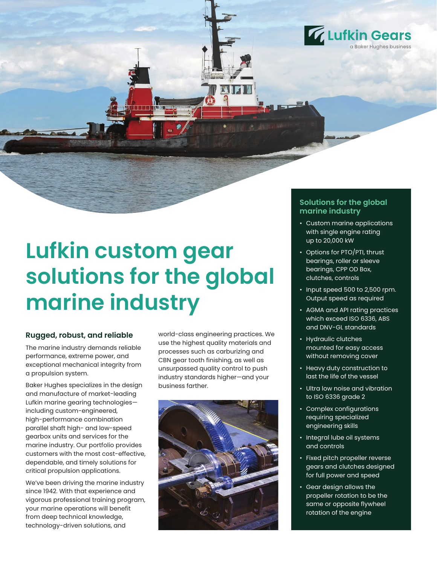

# **Lufkin custom gear solutions for the global marine industry**

#### **Rugged, robust, and reliable**

The marine industry demands reliable performance, extreme power, and exceptional mechanical integrity from a propulsion system.

Baker Hughes specializes in the design and manufacture of market-leading Lufkin marine gearing technologies including custom-engineered, high-performance combination parallel shaft high- and low-speed gearbox units and services for the marine industry. Our portfolio provides customers with the most cost-effective, dependable, and timely solutions for critical propulsion applications.

We've been driving the marine industry since 1942. With that experience and vigorous professional training program, your marine operations will benefit from deep technical knowledge, technology-driven solutions, and

world-class engineering practices. We use the highest quality materials and processes such as carburizing and CBN gear tooth finishing, as well as unsurpassed quality control to push industry standards higher—and your business farther.



### **Solutions for the global marine industry**

- Custom marine applications with single engine rating up to 20,000 kW
- Options for PTO/PTI, thrust bearings, roller or sleeve bearings, CPP OD Box, clutches, controls
- Input speed 500 to 2,500 rpm. Output speed as required
- AGMA and API rating practices which exceed ISO 6336, ABS and DNV-GL standards
- Hydraulic clutches mounted for easy access without removing cover
- Heavy duty construction to last the life of the vessel
- Ultra low noise and vibration to ISO 6336 grade 2
- Complex configurations requiring specialized engineering skills
- Integral lube oil systems and controls
- Fixed pitch propeller reverse gears and clutches designed for full power and speed
- Gear design allows the propeller rotation to be the same or opposite flywheel rotation of the engine